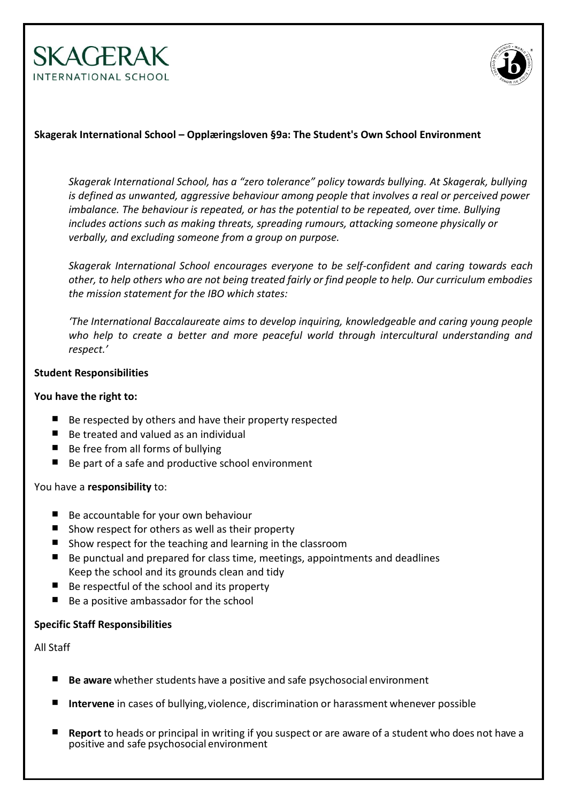



## **Skagerak International School – Opplæringsloven §9a: The Student's Own School Environment**

*Skagerak International School, has a "zero tolerance" policy towards bullying. At Skagerak, bullying is defined as unwanted, aggressive behaviour among people that involves a real or perceived power imbalance. The behaviour is repeated, or has the potential to be repeated, over time. Bullying includes actions such as making threats, spreading rumours, attacking someone physically or verbally, and excluding someone from a group on purpose.*

*Skagerak International School encourages everyone to be self-confident and caring towards each other, to help others who are not being treated fairly or find people to help. Our curriculum embodies the mission statement for the IBO which states:*

*'The International Baccalaureate aims to develop inquiring, knowledgeable and caring young people who help to create a better and more peaceful world through intercultural understanding and respect.'*

#### **Student Responsibilities**

#### **You have the right to:**

- $\blacksquare$  Be respected by others and have their property respected
- Be treated and valued as an individual
- $\blacksquare$  Be free from all forms of bullying
- Be part of a safe and productive school environment

## You have a **responsibility** to:

- Be accountable for your own behaviour
- $\blacksquare$  Show respect for others as well as their property
- Show respect for the teaching and learning in the classroom
- Be punctual and prepared for class time, meetings, appointments and deadlines Keep the school and its grounds clean and tidy
- $\blacksquare$  Be respectful of the school and its property
- Be a positive ambassador for the school

## **Specific Staff Responsibilities**

## All Staff

- **Be aware** whether students have a positive and safe psychosocial environment
- **Intervene** in cases of bullying, violence, discrimination or harassment whenever possible
- **Report** to heads or principal in writing if you suspect or are aware of a student who does not have a positive and safe psychosocial environment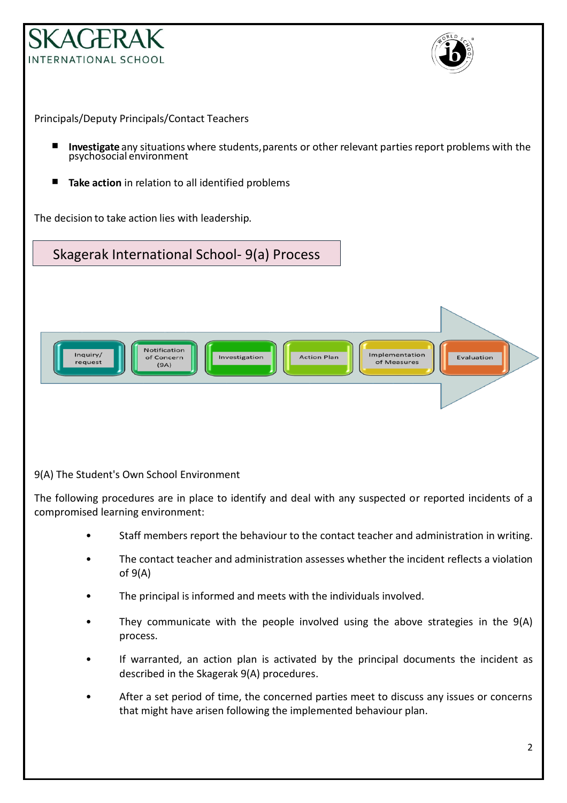



Principals/Deputy Principals/Contact Teachers

- **Investigate** any situations where students, parents or other relevant parties report problems with the psychosocial environment
- **Take action** in relation to all identified problems

The decision to take action lies with leadership.

Skagerak International School- 9(a) Process



9(A) The Student's Own School Environment

The following procedures are in place to identify and deal with any suspected or reported incidents of a compromised learning environment:

- Staff members report the behaviour to the contact teacher and administration in writing.
- The contact teacher and administration assesses whether the incident reflects a violation of 9(A)
- The principal is informed and meets with the individuals involved.
- They communicate with the people involved using the above strategies in the 9(A) process.
- If warranted, an action plan is activated by the principal documents the incident as described in the Skagerak 9(A) procedures.
- After a set period of time, the concerned parties meet to discuss any issues or concerns that might have arisen following the implemented behaviour plan.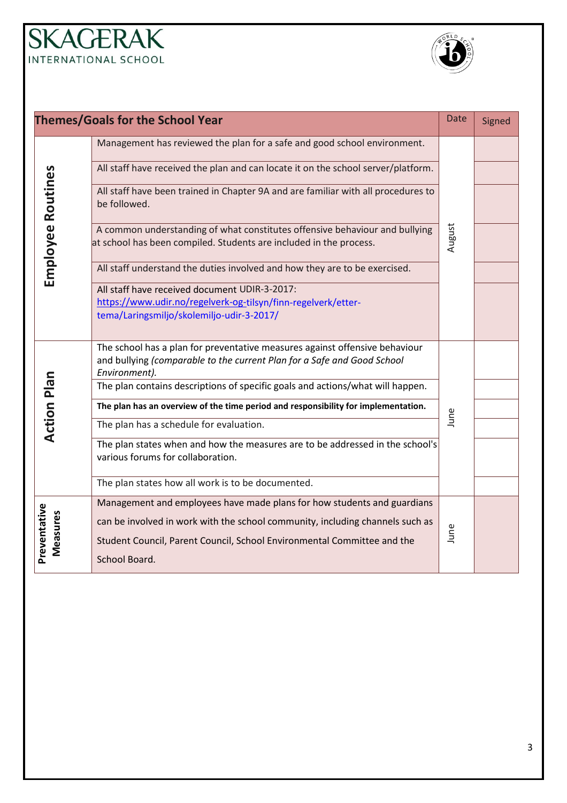## **SKAGERAK** INTERNATIONAL SCHOOL



| <b>Themes/Goals for the School Year</b> |                                                                                                                                                                                                                                                      |        | Signed |
|-----------------------------------------|------------------------------------------------------------------------------------------------------------------------------------------------------------------------------------------------------------------------------------------------------|--------|--------|
| <b>Employee Routines</b>                | Management has reviewed the plan for a safe and good school environment.                                                                                                                                                                             |        |        |
|                                         | All staff have received the plan and can locate it on the school server/platform.                                                                                                                                                                    |        |        |
|                                         | All staff have been trained in Chapter 9A and are familiar with all procedures to<br>be followed.                                                                                                                                                    |        |        |
|                                         | A common understanding of what constitutes offensive behaviour and bullying<br>at school has been compiled. Students are included in the process.                                                                                                    | August |        |
|                                         | All staff understand the duties involved and how they are to be exercised.                                                                                                                                                                           |        |        |
|                                         | All staff have received document UDIR-3-2017:<br>https://www.udir.no/regelverk-og-tilsyn/finn-regelverk/etter-<br>tema/Laringsmiljo/skolemiljo-udir-3-2017/                                                                                          |        |        |
| <b>Action Plan</b>                      | The school has a plan for preventative measures against offensive behaviour<br>and bullying (comparable to the current Plan for a Safe and Good School<br>Environment).                                                                              | June   |        |
|                                         | The plan contains descriptions of specific goals and actions/what will happen.                                                                                                                                                                       |        |        |
|                                         | The plan has an overview of the time period and responsibility for implementation.                                                                                                                                                                   |        |        |
|                                         | The plan has a schedule for evaluation.                                                                                                                                                                                                              |        |        |
|                                         | The plan states when and how the measures are to be addressed in the school's<br>various forums for collaboration.                                                                                                                                   |        |        |
|                                         | The plan states how all work is to be documented.                                                                                                                                                                                                    |        |        |
| Preventative<br>Measures                | Management and employees have made plans for how students and guardians<br>can be involved in work with the school community, including channels such as<br>Student Council, Parent Council, School Environmental Committee and the<br>School Board. | June   |        |